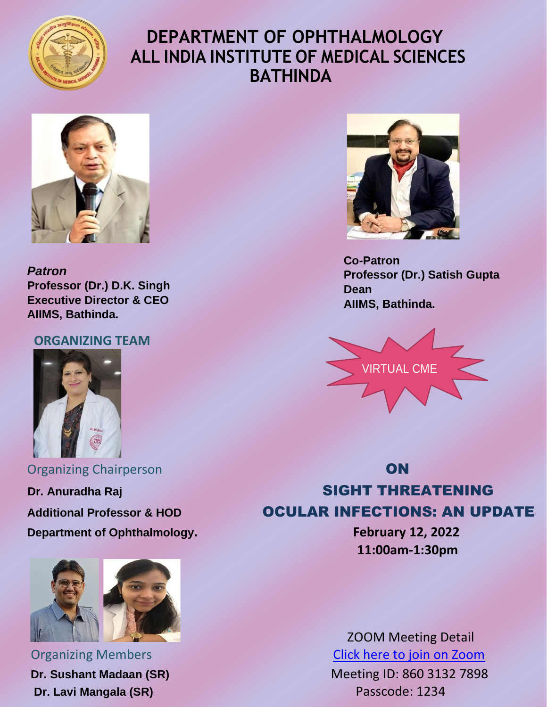

## **DEPARTMENT OF OPHTHALMOLOGY ALL INDIA INSTITUTE OF MEDICAL SCIENCES BATHINDA**



*Patron* **Professor (Dr.) D.K. Singh Executive Director & CEO AIIMS, Bathinda.**

#### **ORGANIZING TEAM**



**Organizing Chairperson ON Department of Ophthalmology. February 12, 2022**



**Dr. Lavi Mangala (SR)** Passcode: 1234



 **Co-Patron Professor (Dr.) Satish Gupta Dean AIIMS, Bathinda.**



# **Dr. Anuradha Raj SIGHT THREATENING** Additional Professor & HOD **CULAR INFECTIONS: AN UPDATE**

**11:00am-1:30pm**

 ZOOM Meeting Detail **Organizing Members** [Click here to join on Zoom](https://us02web.zoom.us/j/86031327898?pwd=MzFxRmVEd29rN1FQdWdLa2JqeE5Mdz09)

**Dr. Sushant Madaan (SR)** Meeting ID: 860 3132 7898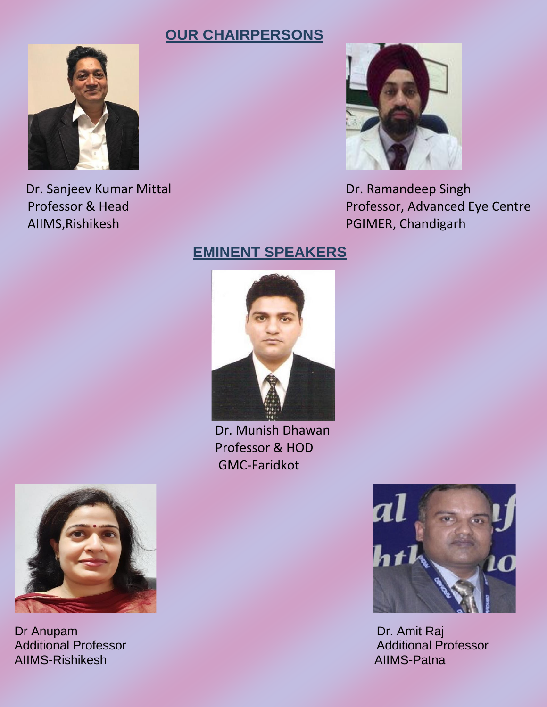#### **OUR CHAIRPERSONS**



Dr. Sanjeev Kumar Mittal Dr. Ramandeep Singh AIIMS, Rishikesh PGIMER, Chandigarh



Professor & Head Professor, Advanced Eye Centre

### **EMINENT SPEAKERS**



 Dr. Munish Dhawan Professor & HOD GMC-Faridkot



Dr Anupam Dr. Amit Raj AIIMS-Rishikesh AIIMS-Patna



Additional Professor Additional Professor